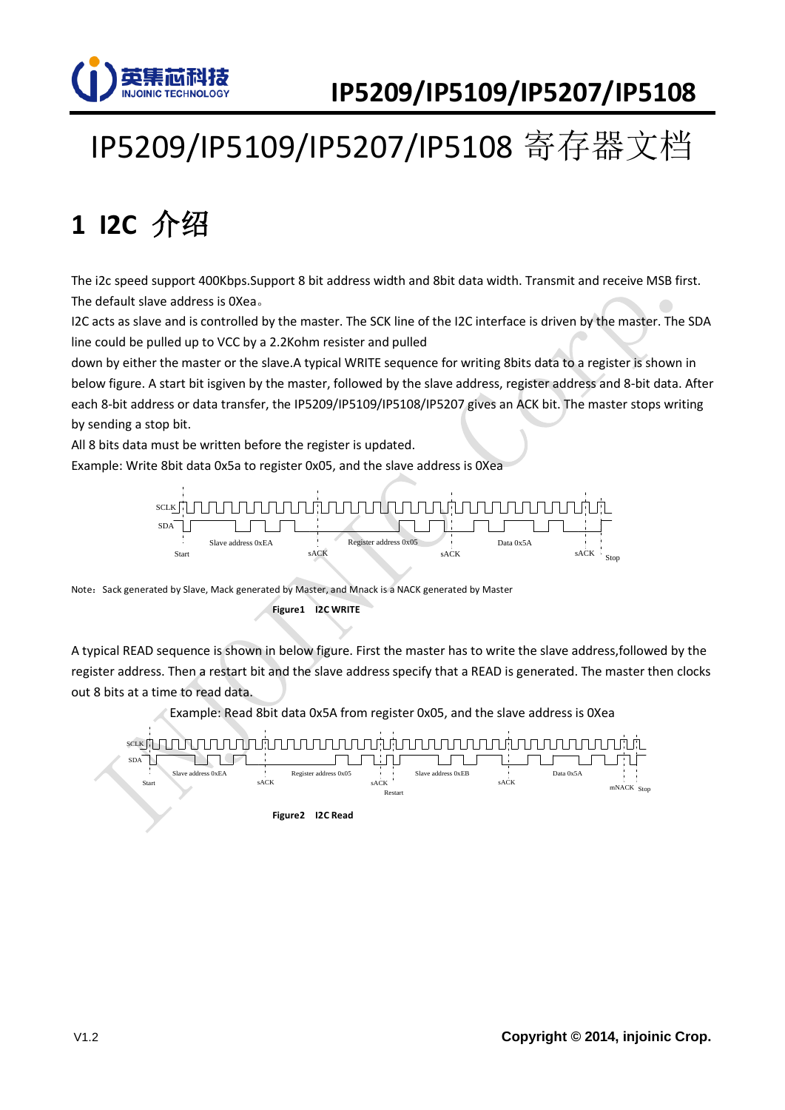

# IP5209/IP5109/IP5207/IP5108 寄存器文档

# **1 I2C** 介绍

The i2c speed support 400Kbps.Support 8 bit address width and 8bit data width. Transmit and receive MSB first. The default slave address is 0Xea。

I2C acts as slave and is controlled by the master. The SCK line of the I2C interface is driven by the master. The SDA line could be pulled up to VCC by a 2.2Kohm resister and pulled

down by either the master or the slave.A typical WRITE sequence for writing 8bits data to a register is shown in below figure. A start bit isgiven by the master, followed by the slave address, register address and 8-bit data. After each 8-bit address or data transfer, the IP5209/IP5109/IP5108/IP5207 gives an ACK bit. The master stops writing by sending a stop bit.

All 8 bits data must be written before the register is updated.

Example: Write 8bit data 0x5a to register 0x05, and the slave address is 0Xea



Note: Sack generated by Slave, Mack generated by Master, and Mnack is a NACK generated by Master **Figure1 I2C WRITE** 

A typical READ sequence is shown in below figure. First the master has to write the slave address,followed by the register address. Then a restart bit and the slave address specify that a READ is generated. The master then clocks out 8 bits at a time to read data.

Example: Read 8bit data 0x5A from register 0x05, and the slave address is 0Xea

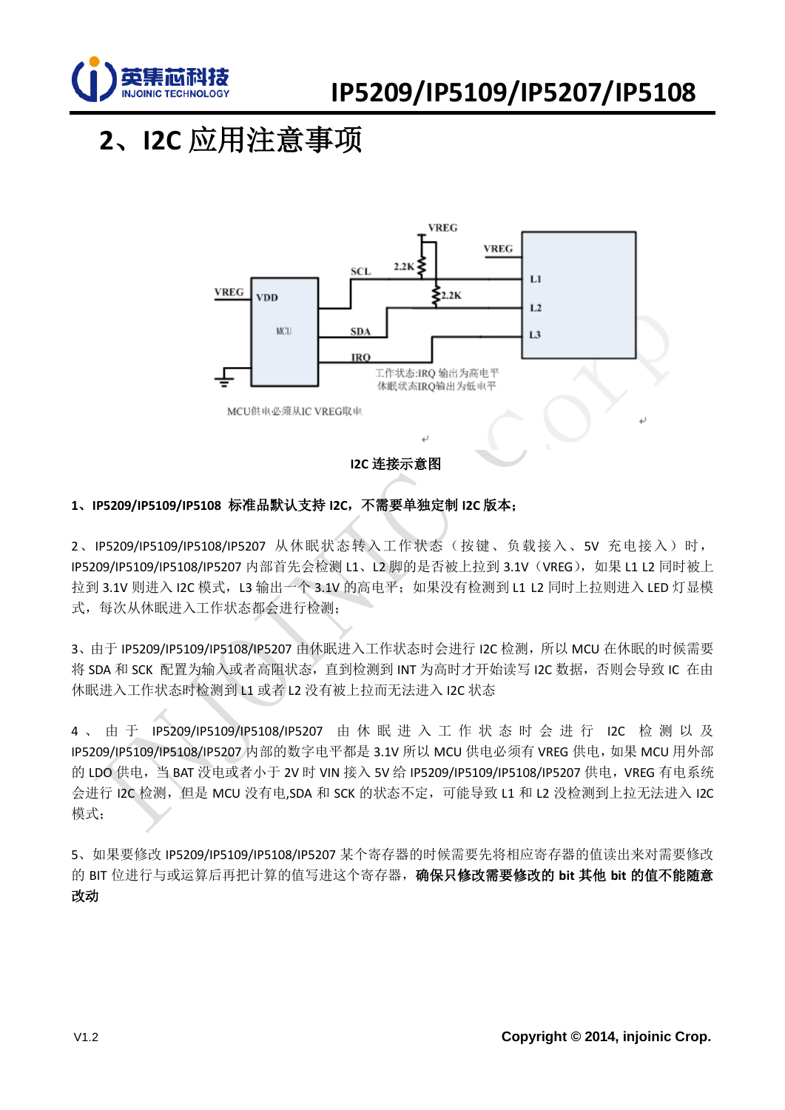

# **2**、**I2C** 应用注意事项



#### **1**、**IP5209/IP5109/IP5108** 标准品默认支持 **I2C**,不需要单独定制 **I2C** 版本;

2、IP5209/IP5109/IP5108/IP5207 从休眠状态转入工作状态(按键、负载接入、5V 充电接入)时, IP5209/IP5109/IP5108/IP5207 内部首先会检测 L1、L2 脚的是否被上拉到 3.1V (VREG), 如果 L1 L2 同时被上 拉到 3.1V 则进入 I2C 模式, L3 输出一个 3.1V 的高电平; 如果没有检测到 L1 L2 同时上拉则进入 LED 灯显模 式,每次从休眠进入工作状态都会进行检测;

3、由于 IP5209/IP5109/IP5108/IP5207 由休眠进入工作状态时会进行 I2C 检测, 所以 MCU 在休眠的时候需要 将 SDA 和 SCK 配置为输入或者高阻状态, 直到检测到 INT 为高时才开始读写 I2C 数据, 否则会导致 IC 在由 休眠进入工作状态时检测到 L1 或者 L2 没有被上拉而无法进入 I2C 状态

4 、 由 于 IP5209/IP5109/IP5108/IP5207 由 休 眠 进 入 工 作 状 态 时 会 进 行 I2C 检 测 以 及 IP5209/IP5109/IP5108/IP5207 内部的数字电平都是 3.1V 所以 MCU 供电必须有 VREG 供电, 如果 MCU 用外部 的 LDO 供电,当 BAT 没电或者小于 2V 时 VIN 接入 5V 给 IP5209/IP5109/IP5108/IP5207 供电, VREG 有电系统 会进行 I2C 检测, 但是 MCU 没有电 SDA 和 SCK 的状态不定, 可能导致 L1 和 L2 没检测到上拉无法进入 I2C 模式;

5、如果要修改 IP5209/IP5109/IP5108/IP5207 某个寄存器的时候需要先将相应寄存器的值读出来对需要修改 的 BIT 位进行与或运算后再把计算的值写进这个寄存器,确保只修改需要修改的 **bit** 其他 **bit** 的值不能随意 改动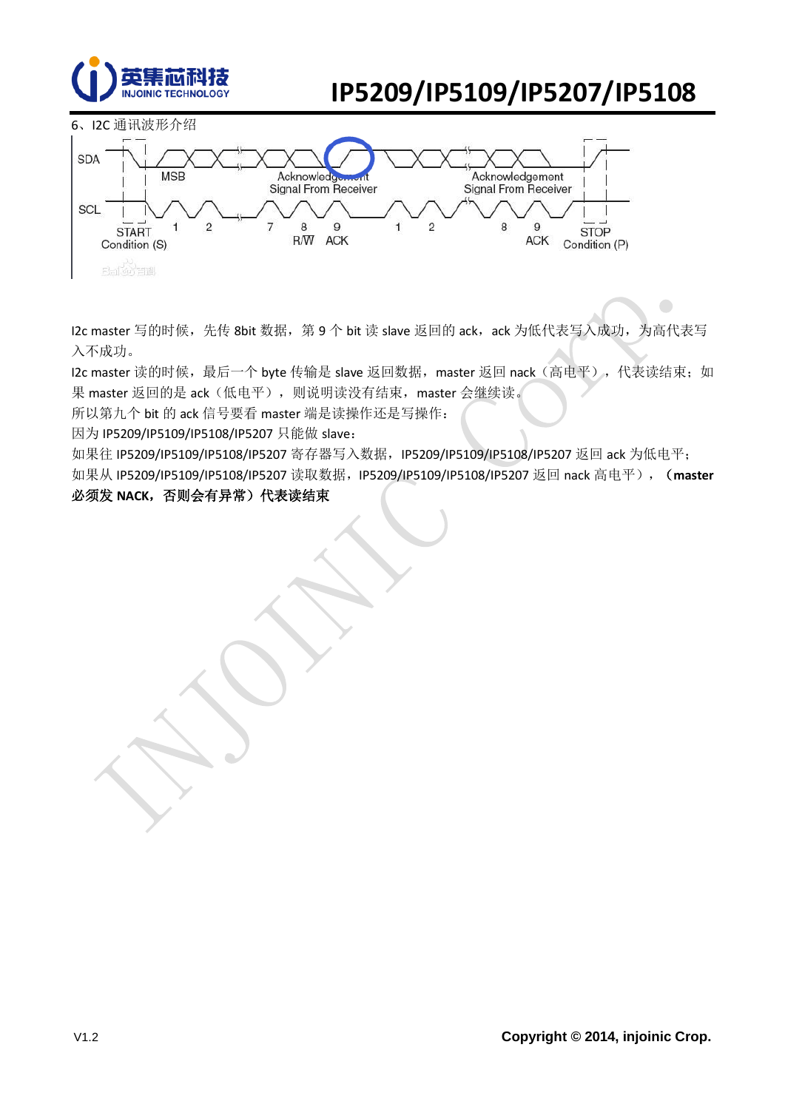





I2c master 写的时候,先传 8bit 数据,第 9个 bit 读 slave 返回的 ack, ack 为低代表写入成功,为高代表写 入不成功。

I2c master 读的时候,最后一个 byte 传输是 slave 返回数据, master 返回 nack (高电平), 代表读结束; 如 果 master 返回的是 ack (低电平), 则说明读没有结束, master 会继续读。

所以第九个 bit 的 ack 信号要看 master 端是读操作还是写操作:

因为 IP5209/IP5109/IP5108/IP5207 只能做 slave:

如果往 IP5209/IP5109/IP5108/IP5207 寄存器写入数据, IP5209/IP5109/IP5108/IP5207 返回 ack 为低电平; 如果从 IP5209/IP5109/IP5108/IP5207 读取数据,IP5209/IP5109/IP5108/IP5207 返回 nack 高电平),(**master**

#### 必须发 NACK, 否则会有异常)代表读结束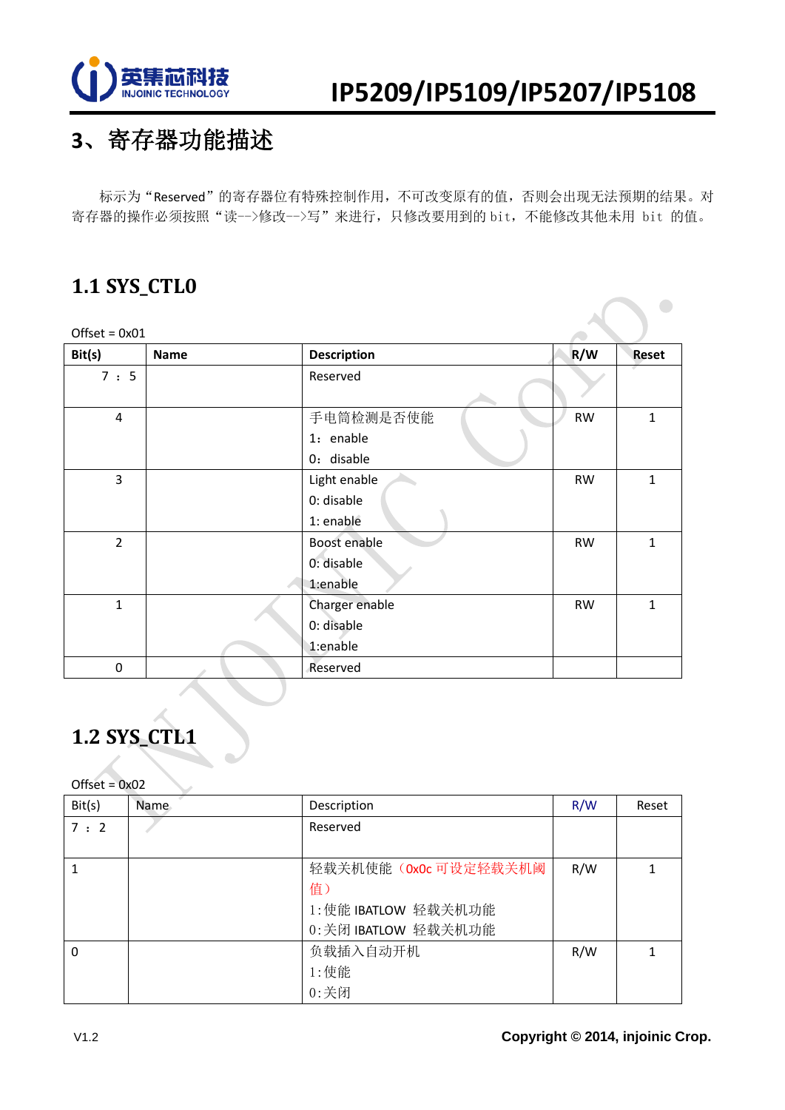

 $\bigcirc$ 

## **3**、寄存器功能描述

标示为"Reserved"的寄存器位有特殊控制作用,不可改变原有的值,否则会出现无法预期的结果。对 寄存器的操作必须按照"读-->修改-->写"来进行,只修改要用到的 bit,不能修改其他未用 bit 的值。

### **1.1 SYS\_CTL0**

| $Offset = 0x01$ |             |                    |           |              |
|-----------------|-------------|--------------------|-----------|--------------|
| Bit(s)          | <b>Name</b> | <b>Description</b> | R/W       | Reset        |
| 7 : 5           |             | Reserved           |           |              |
| $\overline{4}$  |             | 手电筒检测是否使能          | <b>RW</b> | $\mathbf{1}$ |
|                 |             | 1: enable          |           |              |
|                 |             | 0: disable         |           |              |
| 3               |             | Light enable       | <b>RW</b> | $\mathbf{1}$ |
|                 |             | 0: disable         |           |              |
|                 |             | 1: enable          |           |              |
| $\overline{2}$  |             | Boost enable       | <b>RW</b> | $\mathbf{1}$ |
|                 |             | 0: disable         |           |              |
|                 |             | 1:enable           |           |              |
| $\mathbf{1}$    |             | Charger enable     | <b>RW</b> | $\mathbf{1}$ |
|                 |             | 0: disable         |           |              |
|                 |             | 1:enable           |           |              |
| 0               |             | Reserved           |           |              |

### **1.2 SYS\_CTL1**

| Bit(s)   | Name. | Description           | R/W | Reset |
|----------|-------|-----------------------|-----|-------|
| 7:2      |       | Reserved              |     |       |
|          |       |                       |     |       |
|          |       | 轻载关机使能 (OxOc 可设定轻载关机阈 | R/W |       |
|          |       | 值)                    |     |       |
|          |       | 1:使能 IBATLOW 轻载关机功能   |     |       |
|          |       | 0:关闭 IBATLOW 轻载关机功能   |     |       |
| $\Omega$ |       | 负载插入自动开机              | R/W |       |
|          |       | 1:使能                  |     |       |
|          |       | $0:$ 关闭               |     |       |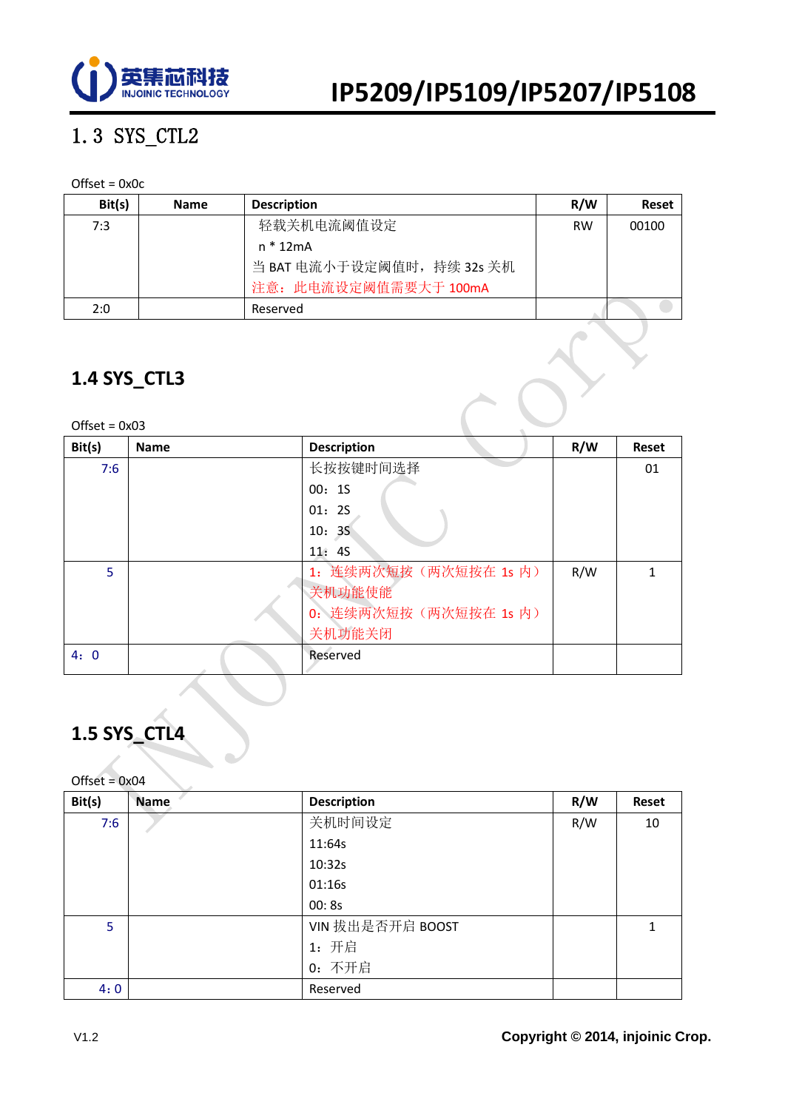

### 1.3 SYS\_CTL2

#### Offset = 0x0c

| Bit(s) | <b>Name</b> | <b>Description</b>         | R/W       | <b>Reset</b> |
|--------|-------------|----------------------------|-----------|--------------|
| 7:3    |             | 轻载关机电流阈值设定                 | <b>RW</b> | 00100        |
|        |             | n * 12mA                   |           |              |
|        |             | 当 BAT 电流小于设定阈值时, 持续 32s 关机 |           |              |
|        |             | 注意: 此电流设定阈值需要大于 100mA      |           |              |
| 2:0    |             | Reserved                   |           |              |

### **1.4 SYS\_CTL3**

| $Offset = 0x03$ |  |
|-----------------|--|
|-----------------|--|

| Bit(s) | <b>Name</b> | <b>Description</b>    | R/W | <b>Reset</b> |
|--------|-------------|-----------------------|-----|--------------|
| 7:6    |             | 长按按键时间选择              |     | 01           |
|        |             | 00:15                 |     |              |
|        |             | 01:25                 |     |              |
|        |             | 10:35                 |     |              |
|        |             | 11:45                 |     |              |
| 5      |             | 1: 连续两次短按(两次短按在 1s 内) | R/W |              |
|        |             | 关机功能使能                |     |              |
|        |             | 0: 连续两次短按(两次短按在 1s 内) |     |              |
|        |             | 关机功能关闭                |     |              |
| 4:0    |             | Reserved              |     |              |
|        |             |                       |     |              |

### **1.5 SYS\_CTL4**

| Bit(s) | <b>Name</b> | <b>Description</b> | R/W | Reset |
|--------|-------------|--------------------|-----|-------|
| 7:6    |             | 关机时间设定             | R/W | 10    |
|        |             | 11:64s             |     |       |
|        |             | 10:32s             |     |       |
|        |             | 01:16s             |     |       |
|        |             | 00:8s              |     |       |
| 5      |             | VIN 拔出是否开启 BOOST   |     |       |
|        |             | 1: 开启              |     |       |
|        |             | 0: 不开启             |     |       |
| 4:0    |             | Reserved           |     |       |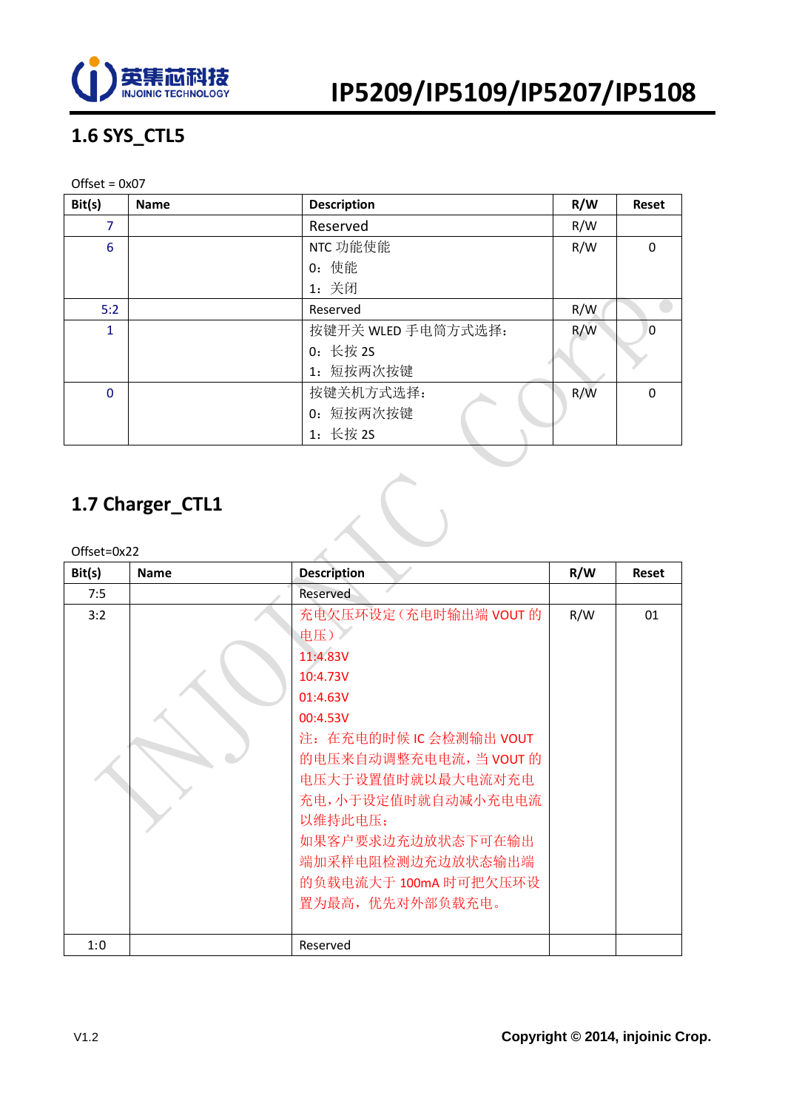

### **1.6 SYS\_CTL5**

#### Offset = 0x07

| Bit(s)          | <b>Name</b> | <b>Description</b> | R/W | <b>Reset</b> |
|-----------------|-------------|--------------------|-----|--------------|
| 7               |             | Reserved           | R/W |              |
| $6\phantom{1}6$ |             | NTC 功能使能           | R/W | $\Omega$     |
|                 |             | 0: 使能              |     |              |
|                 |             | 1: 关闭              |     |              |
| 5:2             |             | Reserved           | R/W |              |
| $\mathbf{1}$    |             | 按键开关 WLED 手电筒方式选择: | R/W | $\Omega$     |
|                 |             | 0: 长按 2S           |     |              |
|                 |             | 1: 短按两次按键          |     |              |
| $\mathbf 0$     |             | 按键关机方式选择:          | R/W | $\Omega$     |
|                 |             | 0: 短按两次按键          |     |              |
|                 |             | 1: 长按 2S           |     |              |
|                 |             |                    |     |              |

### **1.7 Charger\_CTL1**

Offset=0x22

| Bit(s) | <b>Name</b> | <b>Description</b>                                                                                                                                                                                                                                                             | R/W | <b>Reset</b> |
|--------|-------------|--------------------------------------------------------------------------------------------------------------------------------------------------------------------------------------------------------------------------------------------------------------------------------|-----|--------------|
| 7:5    |             | Reserved                                                                                                                                                                                                                                                                       |     |              |
| 3:2    |             | 充电欠压环设定(充电时输出端 VOUT 的<br>电压)。<br>11:4.83V<br>10:4.73V<br>01:4.63V<br>00:4.53V<br>注: 在充电的时候 IC 会检测输出 VOUT<br>的电压来自动调整充电电流,当 VOUT 的<br>电压大于设置值时就以最大电流对充电<br>充电,小于设定值时就自动减小充电电流<br>以维持此电压:<br>如果客户要求边充边放状态下可在输出<br>端加采样电阻检测边充边放状态输出端<br>的负载电流大于 100mA 时可把欠压环设<br>置为最高, 优先对外部负载充电。 | R/W | 01           |
|        |             |                                                                                                                                                                                                                                                                                |     |              |
| 1:0    |             | Reserved                                                                                                                                                                                                                                                                       |     |              |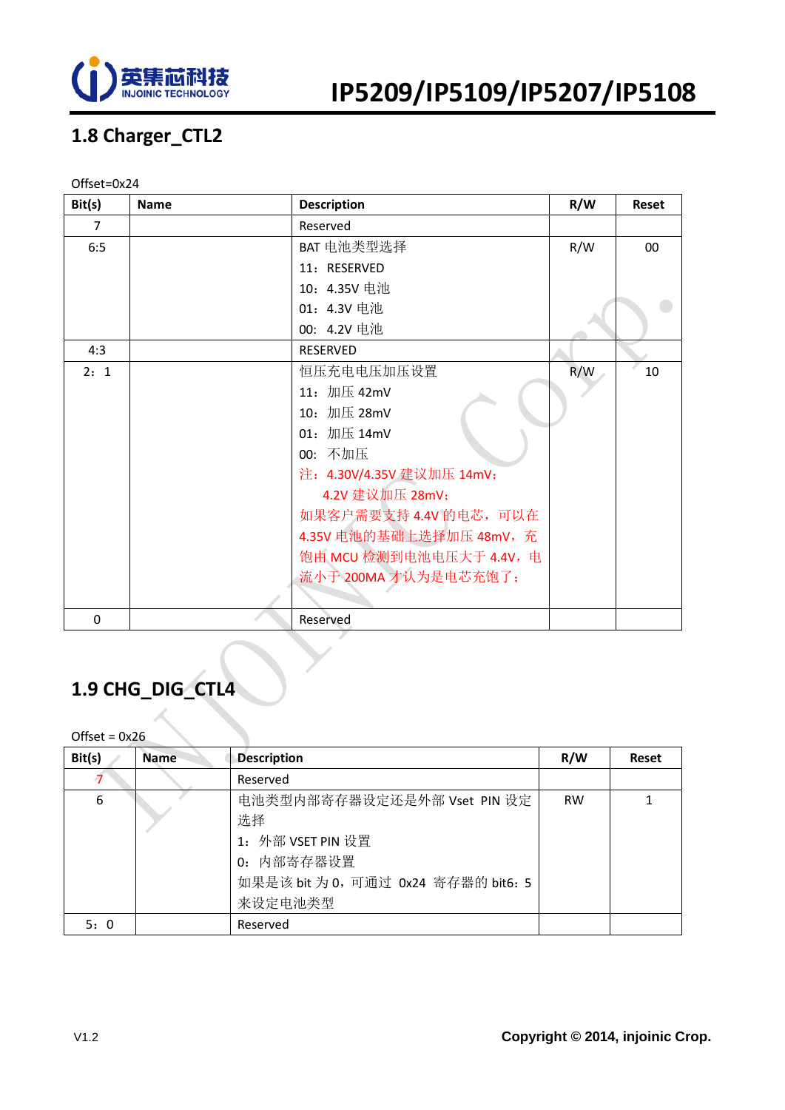

### **1.8 Charger\_CTL2**

#### Offset=0x24

| Bit(s)   | <b>Name</b> | <b>Description</b>        | R/W | <b>Reset</b> |
|----------|-------------|---------------------------|-----|--------------|
| 7        |             | Reserved                  |     |              |
| 6:5      |             | BAT 电池类型选择                | R/W | 00           |
|          |             | 11: RESERVED              |     |              |
|          |             | 10: 4.35V 电池              |     |              |
|          |             | 01: 4.3V 电池               |     |              |
|          |             | 00: 4.2V 电池               |     |              |
| 4:3      |             | <b>RESERVED</b>           |     |              |
| 2:1      |             | 恒压充电电压加压设置                | R/W | 10           |
|          |             | 11: 加压 42mV               |     |              |
|          |             | 10: 加压 28mV               |     |              |
|          |             | 01: 加压 14mV               |     |              |
|          |             | 00: 不加压                   |     |              |
|          |             | 注: 4.30V/4.35V 建议加压 14mV; |     |              |
|          |             | 4.2V 建议加压 28mV;           |     |              |
|          |             | 如果客户需要支持 4.4V 的电芯, 可以在    |     |              |
|          |             | 4.35V 电池的基础上选择加压 48mV, 充  |     |              |
|          |             | 饱由 MCU 检测到电池电压大于 4.4V, 电  |     |              |
|          |             | 流小于 200MA 才认为是电芯充饱了;      |     |              |
|          |             |                           |     |              |
| $\Omega$ |             | Reserved                  |     |              |

## **1.9 CHG\_DIG\_CTL4**

| Bit(s) | <b>Name</b> | <b>Description</b>                  | R/W       | <b>Reset</b> |
|--------|-------------|-------------------------------------|-----------|--------------|
| -7     |             | Reserved                            |           |              |
| 6      |             | 电池类型内部寄存器设定还是外部 Vset PIN 设定         | <b>RW</b> |              |
|        |             | 选择                                  |           |              |
|        |             | 1: 外部 VSET PIN 设置                   |           |              |
|        |             | 0: 内部寄存器设置                          |           |              |
|        |             | 如果是该 bit 为 0, 可通过 0x24 寄存器的 bit6: 5 |           |              |
|        |             | 来设定电池类型                             |           |              |
| 5:0    |             | Reserved                            |           |              |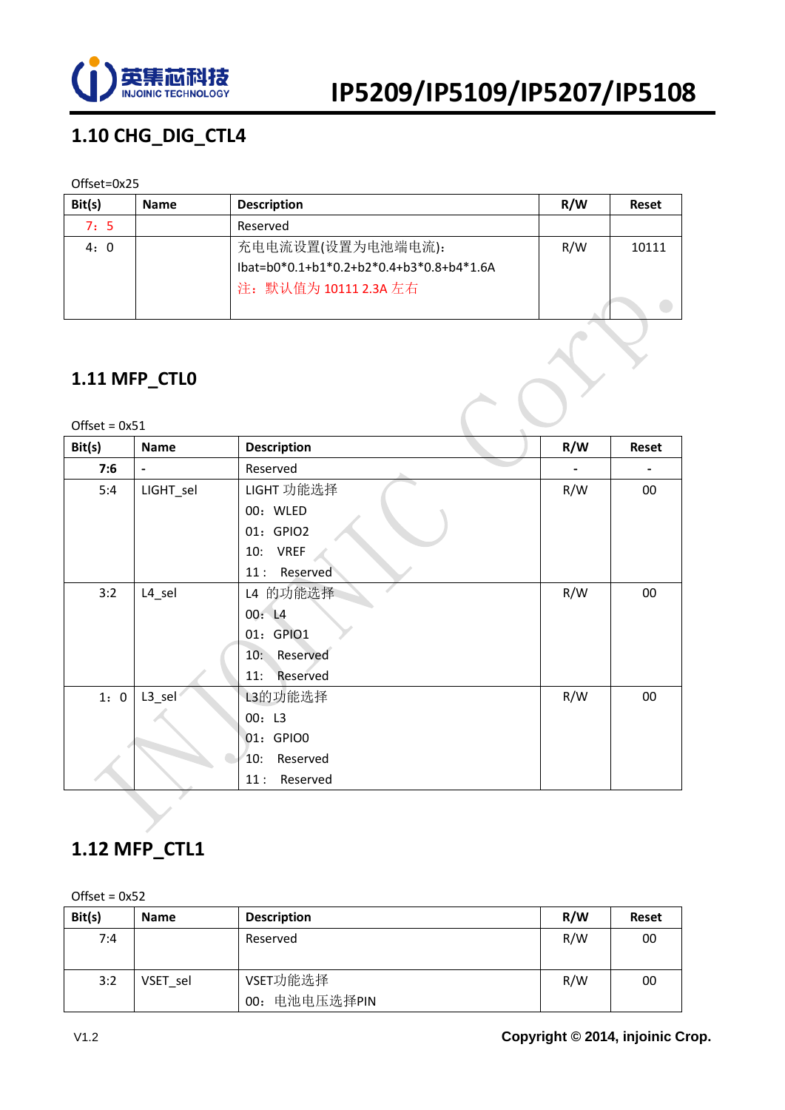

### **1.10 CHG\_DIG\_CTL4**

#### Offset=0x25

| Bit(s) | <b>Name</b> | <b>Description</b>                          | R/W | Reset |
|--------|-------------|---------------------------------------------|-----|-------|
| 7:5    |             | Reserved                                    |     |       |
| 4:0    |             | 充电电流设置(设置为电池端电流):                           | R/W | 10111 |
|        |             | $1$ bat=b0*0.1+b1*0.2+b2*0.4+b3*0.8+b4*1.6A |     |       |
|        |             | 注: 默认值为 10111 2.3A 左右                       |     |       |
|        |             |                                             |     |       |

#### **1.11 MFP\_CTL0**

| Offset = $0x51$ | 1.11 MFP_CTL0      |                    |     |              |
|-----------------|--------------------|--------------------|-----|--------------|
| Bit(s)          | <b>Name</b>        | <b>Description</b> | R/W | <b>Reset</b> |
| 7:6             | $\blacksquare$     | Reserved           |     |              |
| 5:4             | LIGHT_sel          | LIGHT 功能选择         | R/W | 00           |
|                 |                    | 00: WLED           |     |              |
|                 |                    | 01: GPIO2          |     |              |
|                 |                    | 10: VREF           |     |              |
|                 |                    | Reserved<br>11:    |     |              |
| 3:2             | L <sub>4_sel</sub> | L4 的功能选择           | R/W | 00           |
|                 |                    | 00: L4             |     |              |
|                 |                    | 01: GPIO1          |     |              |
|                 |                    | 10: Reserved       |     |              |
|                 |                    | Reserved<br>$11$ : |     |              |
| 1:0             | L3_sel             | L3的功能选择            | R/W | 00           |
|                 |                    | 00: L3             |     |              |
|                 |                    | 01: GPIO0          |     |              |
|                 |                    | Reserved<br>10:    |     |              |
|                 |                    | 11:<br>Reserved    |     |              |

#### **1.12 MFP\_CTL1**

| Bit(s) | <b>Name</b> | <b>Description</b>           | R/W | <b>Reset</b> |
|--------|-------------|------------------------------|-----|--------------|
| 7:4    |             | Reserved                     | R/W | 00           |
| 3:2    | VSET sel    | VSET功能选择<br>电池电压选择PIN<br>00: | R/W | 00           |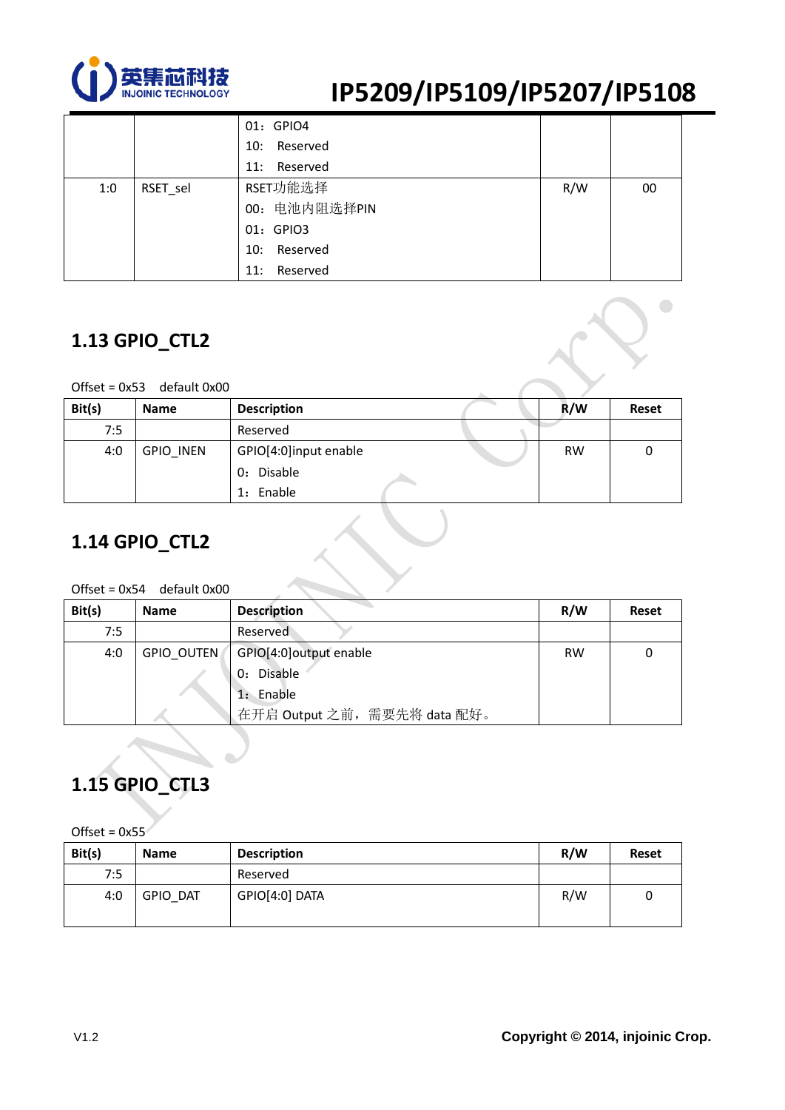

 $\bigcirc$ 

|     |          | 01: GPIO4       |     |    |
|-----|----------|-----------------|-----|----|
|     |          | 10: Reserved    |     |    |
|     |          | 11: Reserved    |     |    |
| 1:0 | RSET_sel | RSET功能选择        | R/W | 00 |
|     |          | 00: 电池内阻选择PIN   |     |    |
|     |          | 01: GPIO3       |     |    |
|     |          | Reserved<br>10: |     |    |
|     |          | Reserved<br>11: |     |    |

#### **1.13 GPIO\_CTL2**

Offset = 0x53 default 0x00

| Bit(s) | <b>Name</b>      | <b>Description</b>                               | R/W       | <b>Reset</b> |
|--------|------------------|--------------------------------------------------|-----------|--------------|
| 7:5    |                  | Reserved                                         |           |              |
| 4:0    | <b>GPIO INEN</b> | GPIO[4:0]input enable<br>0: Disable<br>1: Enable | <b>RW</b> |              |

### **1.14 GPIO\_CTL2**

#### Offset = 0x54 default 0x00

| Bit(s) | <b>Name</b> | <b>Description</b>           | R/W       | Reset |
|--------|-------------|------------------------------|-----------|-------|
| 7:5    |             | Reserved                     |           |       |
| 4:0    | GPIO OUTEN  | GPIO[4:0]output enable       | <b>RW</b> |       |
|        |             | 0: Disable                   |           |       |
|        |             | 1: Enable                    |           |       |
|        |             | 在开启 Output 之前, 需要先将 data 配好。 |           |       |

### **1.15 GPIO\_CTL3**

| Bit(s) | <b>Name</b> | <b>Description</b> | R/W | <b>Reset</b> |
|--------|-------------|--------------------|-----|--------------|
| 7:5    |             | Reserved           |     |              |
| 4:0    | GPIO DAT    | GPIO[4:0] DATA     | R/W |              |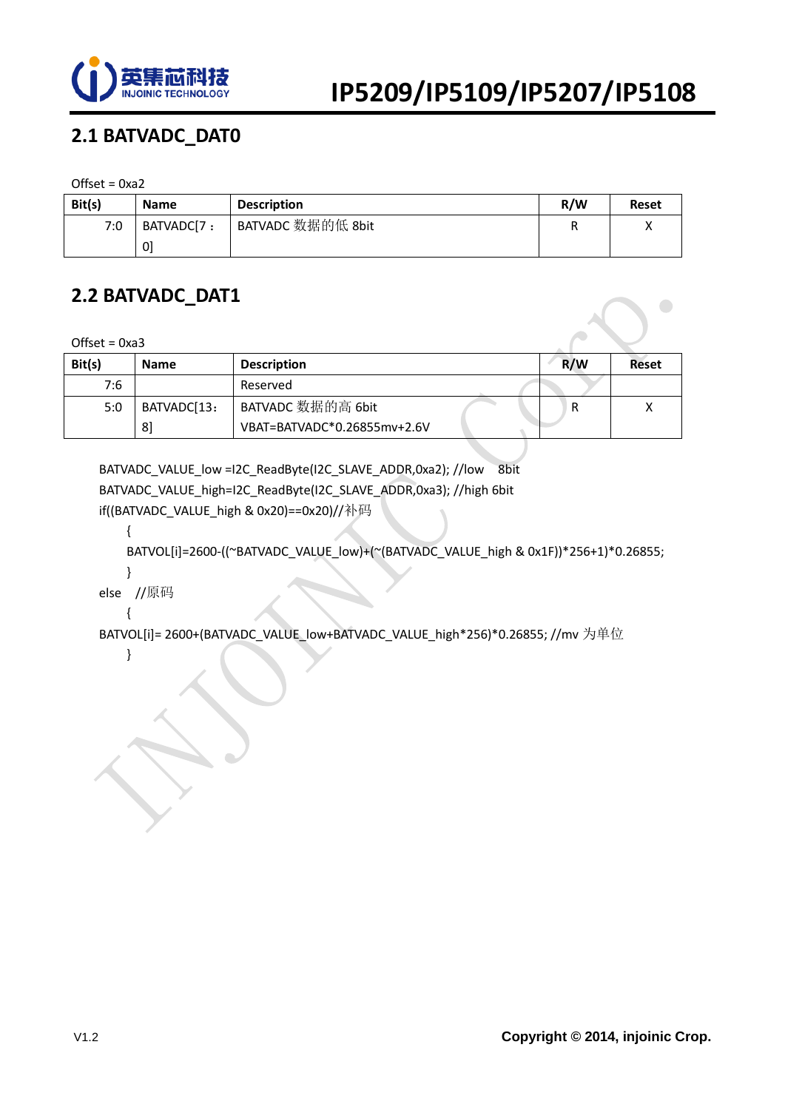

### **2.1 BATVADC\_DAT0**

 $Offset = 0xa2$ 

| Bit(s) | <b>Name</b> | <b>Description</b> | R/W | <b>Reset</b> |
|--------|-------------|--------------------|-----|--------------|
| 7:0    | BATVADC[7:  | BATVADC 数据的低 8bit  | R   |              |
|        | 01          |                    |     |              |

#### **2.2 BATVADC\_DAT1**

Offset =  $0xa3$ 

| Bit(s) | <b>Name</b> | <b>Description</b>          | R/W | Reset |
|--------|-------------|-----------------------------|-----|-------|
| 7:6    |             | Reserved                    |     |       |
| 5:0    | BATVADC[13: | BATVADC 数据的高 6bit           |     |       |
|        | 81          | VBAT=BATVADC*0.26855mv+2.6V |     |       |

BATVADC\_VALUE\_low =I2C\_ReadByte(I2C\_SLAVE\_ADDR,0xa2); //low 8bit BATVADC\_VALUE\_high=I2C\_ReadByte(I2C\_SLAVE\_ADDR,0xa3); //high 6bit if((BATVADC\_VALUE\_high & 0x20)==0x20)//补码

{

BATVOL[i]=2600-((~BATVADC\_VALUE\_low)+(~(BATVADC\_VALUE\_high & 0x1F))\*256+1)\*0.26855;

 } else //原码

{

BATVOL[i]= 2600+(BATVADC\_VALUE\_low+BATVADC\_VALUE\_high\*256)\*0.26855; //mv 为单位

}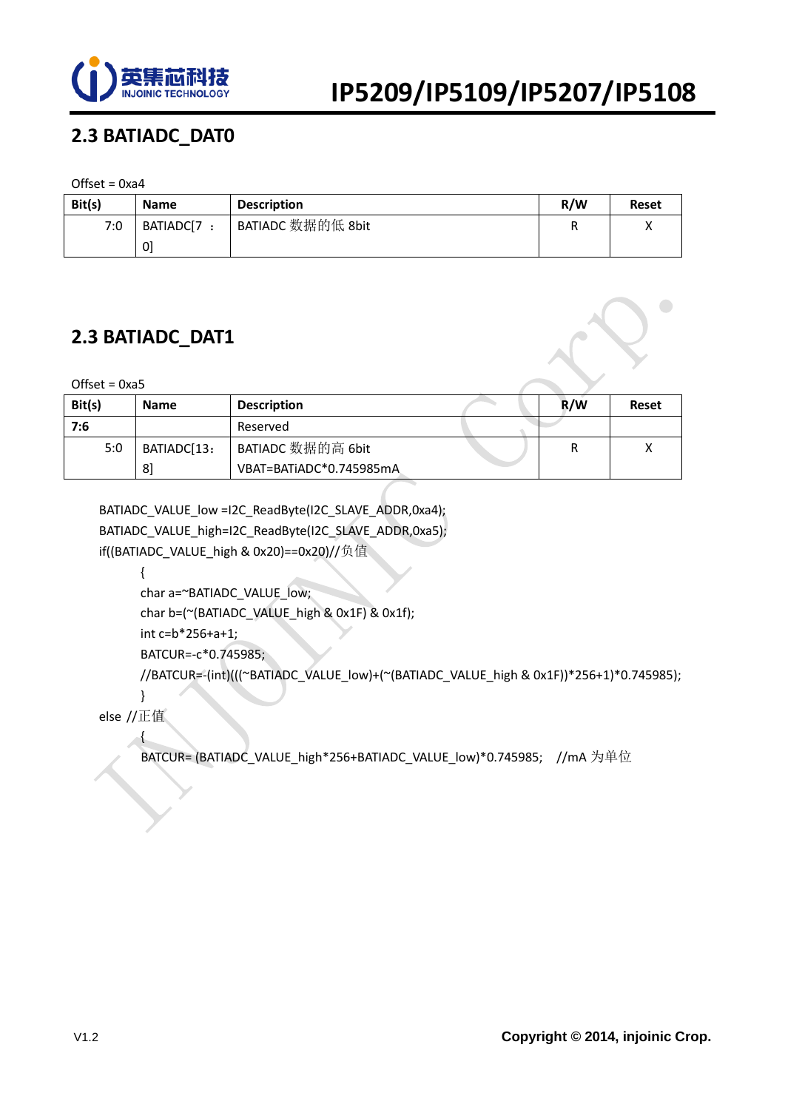

### **2.3 BATIADC\_DAT0**

#### Offset =  $0xa4$

| Bit(s) | <b>Name</b> | <b>Description</b> | R/W | <b>Reset</b> |
|--------|-------------|--------------------|-----|--------------|
| 7:0    | BATIADC[7:  | BATIADC 数据的低 8bit  |     |              |
|        | 0]          |                    |     |              |

#### **2.3 BATIADC\_DAT1**

 $Offset = 0xa5$ 

| Bit(s) | <b>Name</b> | <b>Description</b>      | R/W | <b>Reset</b> |
|--------|-------------|-------------------------|-----|--------------|
| 7:6    |             | Reserved                |     |              |
| 5:0    | BATIADC[13: | BATIADC 数据的高 6bit       |     |              |
|        | 81          | VBAT=BATiADC*0.745985mA |     |              |

BATIADC\_VALUE\_low =I2C\_ReadByte(I2C\_SLAVE\_ADDR,0xa4); BATIADC\_VALUE\_high=I2C\_ReadByte(I2C\_SLAVE\_ADDR,0xa5); if((BATIADC\_VALUE\_high & 0x20)==0x20)//负值

{

char a=~BATIADC\_VALUE\_low; char b=(~(BATIADC\_VALUE\_high & 0x1F) & 0x1f); int c=b\*256+a+1; BATCUR=-c\*0.745985;

//BATCUR=-(int)(((~BATIADC\_VALUE\_low)+(~(BATIADC\_VALUE\_high & 0x1F))\*256+1)\*0.745985);

else //正值

}

{

BATCUR= (BATIADC\_VALUE\_high\*256+BATIADC\_VALUE\_low)\*0.745985; //mA 为单位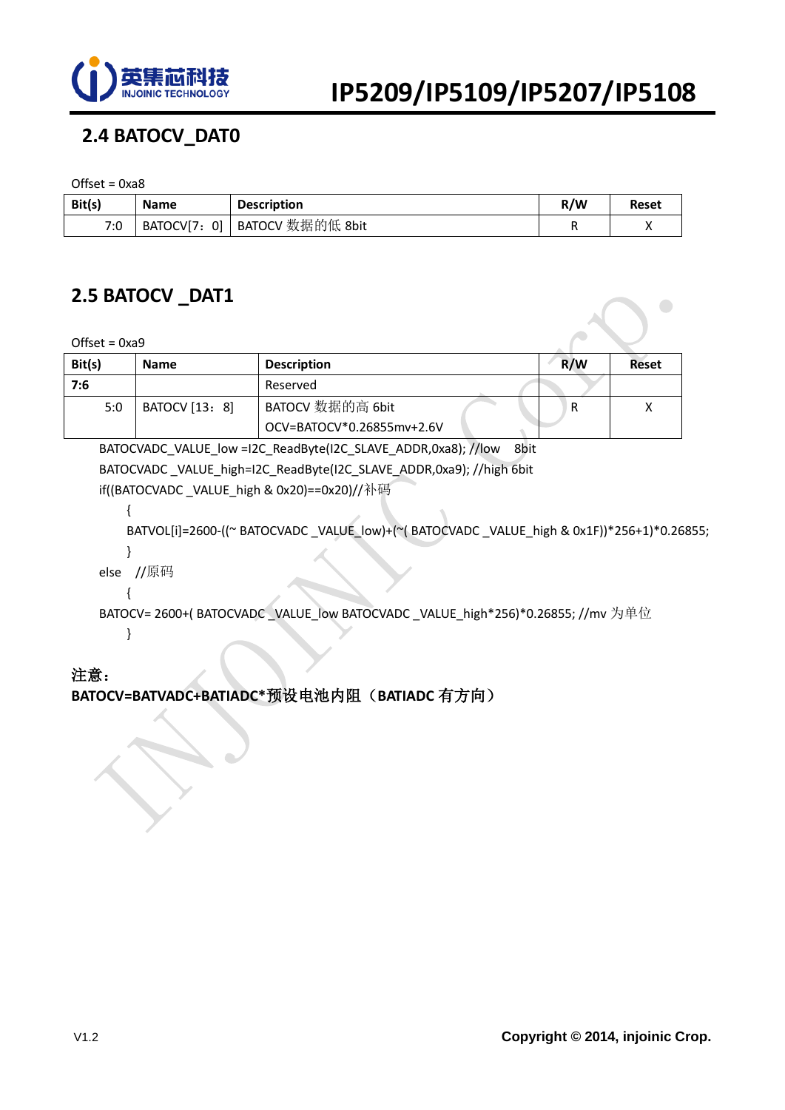

### **2.4 BATOCV\_DAT0**

 $Offset = 0xa8$ 

| Bit(s) | <b>Name</b> | <b>Description</b>            | R/W | <b>Reset</b> |
|--------|-------------|-------------------------------|-----|--------------|
| 7:0    |             | BATOCV[7: 0] BATOCV 数据的低 8bit |     |              |

#### **2.5 BATOCV \_DAT1**

 $Offset = 0xa9$ 

| Bit(s) | <b>Name</b>    | <b>Description</b>        | R/W | Reset |
|--------|----------------|---------------------------|-----|-------|
| 7:6    |                | Reserved                  |     |       |
| 5:0    | BATOCV [13: 8] | BATOCV 数据的高 6bit          | R   |       |
|        |                | OCV=BATOCV*0.26855mv+2.6V |     |       |

 BATOCVADC\_VALUE\_low =I2C\_ReadByte(I2C\_SLAVE\_ADDR,0xa8); //low 8bit BATOCVADC\_VALUE\_high=I2C\_ReadByte(I2C\_SLAVE\_ADDR,0xa9); //high 6bit if((BATOCVADC \_VALUE\_high & 0x20)==0x20)//补码

{

}

{

BATVOL[i]=2600-((~ BATOCVADC \_VALUE\_low)+(~( BATOCVADC \_VALUE\_high & 0x1F))\*256+1)\*0.26855;

else //原码

BATOCV= 2600+( BATOCVADC \_VALUE\_low BATOCVADC \_VALUE\_high\*256)\*0.26855; //mv 为单位 }

#### 注意:

#### **BATOCV=BATVADC+BATIADC\***预设电池内阻(**BATIADC** 有方向)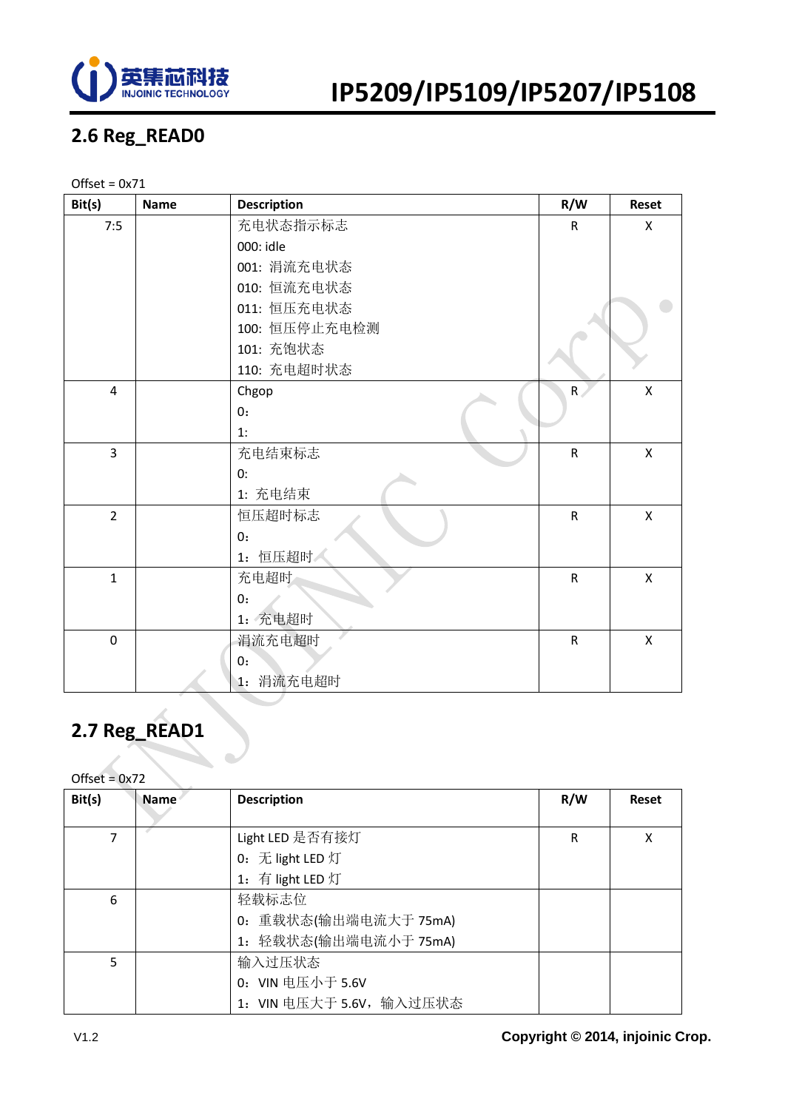

### **2.6 Reg\_READ0**

#### Offset =  $0x71$

| Bit(s)         | <b>Name</b> | <b>Description</b> | R/W            | <b>Reset</b> |
|----------------|-------------|--------------------|----------------|--------------|
| 7:5            |             | 充电状态指示标志           | $\mathsf{R}$   | X            |
|                |             | 000: idle          |                |              |
|                |             | 001: 涓流充电状态        |                |              |
|                |             | 010: 恒流充电状态        |                |              |
|                |             | 011: 恒压充电状态        |                |              |
|                |             | 100: 恒压停止充电检测      |                |              |
|                |             | 101: 充饱状态          |                |              |
|                |             | 110: 充电超时状态        |                |              |
| $\overline{4}$ |             | Chgop              | $\overline{R}$ | X            |
|                |             | 0:                 |                |              |
|                |             | 1:                 |                |              |
| $\overline{3}$ |             | 充电结束标志             | $\mathsf R$    | $\mathsf{x}$ |
|                |             | 0:                 |                |              |
|                |             | 1: 充电结束            |                |              |
| $\overline{2}$ |             | 恒压超时标志             | $\mathsf{R}$   | $\mathsf{x}$ |
|                |             | 0:                 |                |              |
|                |             | 1: 恒压超时            |                |              |
| $\mathbf{1}$   |             | 充电超时               | ${\sf R}$      | X            |
|                |             | 0:                 |                |              |
|                |             | 1: 充电超时            |                |              |
| $\mathbf 0$    |             | 涓流充电超时             | $\mathsf R$    | $\mathsf{x}$ |
|                |             | 0:                 |                |              |
|                |             | 1: 涓流充电超时          |                |              |

### **2.7 Reg\_READ1**

| Bit(s) | <b>Name</b> | <b>Description</b>       | R/W | <b>Reset</b> |
|--------|-------------|--------------------------|-----|--------------|
|        |             |                          |     |              |
| 7      |             | Light LED 是否有接灯          | R   | X            |
|        |             | 0: 无 light LED 灯         |     |              |
|        |             | 1: 有 light LED 灯         |     |              |
| 6      |             | 轻载标志位                    |     |              |
|        |             | 0: 重载状态(输出端电流大于 75mA)    |     |              |
|        |             | 1: 轻载状态(输出端电流小于 75mA)    |     |              |
| 5      |             | 输入过压状态                   |     |              |
|        |             | 0: VIN 电压小于 5.6V         |     |              |
|        |             | 1: VIN 电压大于 5.6V, 输入过压状态 |     |              |